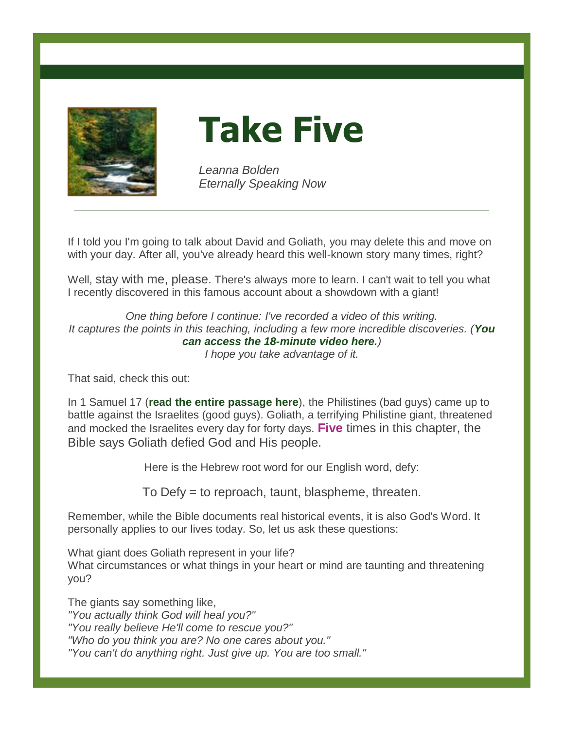

**Take Five**

*Leanna Bolden Eternally Speaking Now*

If I told you I'm going to talk about David and Goliath, you may delete this and move on with your day. After all, you've already heard this well-known story many times, right?

Well, stay with me, please. There's always more to learn. I can't wait to tell you what I recently discovered in this famous account about a showdown with a giant!

*One thing before I continue: I've recorded a video of this writing. It captures the points in this teaching, including a few more incredible discoveries. ([You](https://leannabolden.com/video-audio-messages)  [can access the 18-minute video here.](https://leannabolden.com/video-audio-messages))*

*I hope you take advantage of it.*

That said, check this out:

In 1 Samuel 17 (**[read the entire passage here](https://www.biblegateway.com/passage/?search=1+Samuel+17&version=NKJV)**), the Philistines (bad guys) came up to battle against the Israelites (good guys). Goliath, a terrifying Philistine giant, threatened and mocked the Israelites every day for forty days. **Five** times in this chapter, the Bible says Goliath defied God and His people.

Here is the Hebrew root word for our English word, defy:

To Defy = to reproach, taunt, blaspheme, threaten.

Remember, while the Bible documents real historical events, it is also God's Word. It personally applies to our lives today. So, let us ask these questions:

What giant does Goliath represent in your life? What circumstances or what things in your heart or mind are taunting and threatening you?

The giants say something like, *"You actually think God will heal you?" "You really believe He'll come to rescue you?" "Who do you think you are? No one cares about you." "You can't do anything right. Just give up. You are too small."*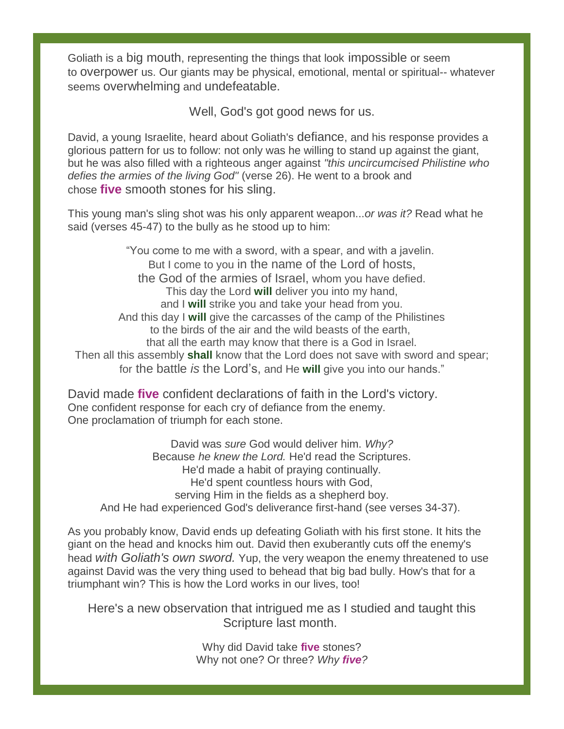Goliath is a big mouth, representing the things that look impossible or seem to overpower us. Our giants may be physical, emotional, mental or spiritual-- whatever seems overwhelming and undefeatable.

Well, God's got good news for us.

David, a young Israelite, heard about Goliath's defiance, and his response provides a glorious pattern for us to follow: not only was he willing to stand up against the giant, but he was also filled with a righteous anger against *"this uncircumcised Philistine who defies the armies of the living God"* (verse 26). He went to a brook and chose **five** smooth stones for his sling.

This young man's sling shot was his only apparent weapon...*or was it?* Read what he said (verses 45-47) to the bully as he stood up to him:

"You come to me with a sword, with a spear, and with a javelin. But I come to you in the name of the Lord of hosts, the God of the armies of Israel, whom you have defied. This day the Lord **will** deliver you into my hand, and I **will** strike you and take your head from you. And this day I **will** give the carcasses of the camp of the Philistines to the birds of the air and the wild beasts of the earth, that all the earth may know that there is a God in Israel. Then all this assembly **shall** know that the Lord does not save with sword and spear; for the battle *is* the Lord's, and He **will** give you into our hands."

David made **five** confident declarations of faith in the Lord's victory. One confident response for each cry of defiance from the enemy. One proclamation of triumph for each stone.

David was *sure* God would deliver him. *Why?* Because *he knew the Lord.* He'd read the Scriptures. He'd made a habit of praying continually. He'd spent countless hours with God, serving Him in the fields as a shepherd boy. And He had experienced God's deliverance first-hand (see verses 34-37).

As you probably know, David ends up defeating Goliath with his first stone. It hits the giant on the head and knocks him out. David then exuberantly cuts off the enemy's head *with Goliath's own sword.* Yup, the very weapon the enemy threatened to use against David was the very thing used to behead that big bad bully. How's that for a triumphant win? This is how the Lord works in our lives, too!

Here's a new observation that intrigued me as I studied and taught this Scripture last month.

> Why did David take **five** stones? Why not one? Or three? *Why five?*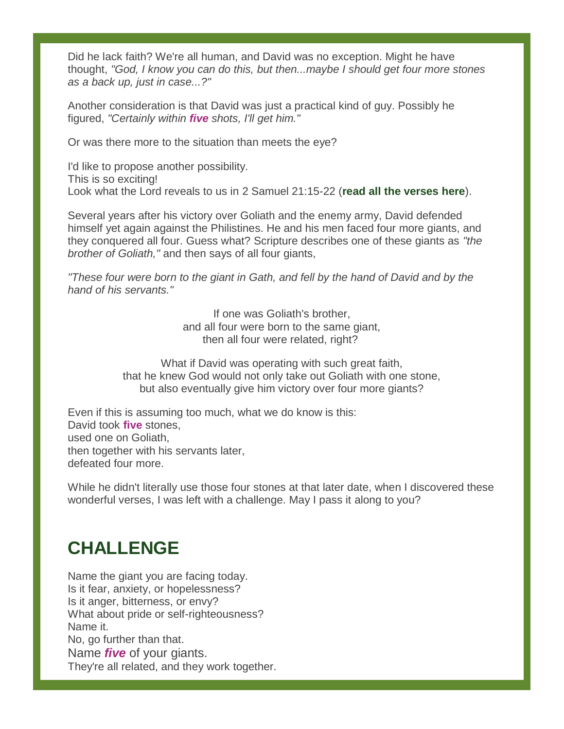Did he lack faith? We're all human, and David was no exception. Might he have thought, *"God, I know you can do this, but then...maybe I should get four more stones as a back up, just in case...?"*

Another consideration is that David was just a practical kind of guy. Possibly he figured, *"Certainly within five shots, I'll get him."*

Or was there more to the situation than meets the eye?

I'd like to propose another possibility. This is so exciting! Look what the Lord reveals to us in 2 Samuel 21:15-22 (**[read all the verses here](https://www.biblegateway.com/passage/?search=2+samuel+21%3A15-22&version=NKJV)**).

Several years after his victory over Goliath and the enemy army, David defended himself yet again against the Philistines. He and his men faced four more giants, and they conquered all four. Guess what? Scripture describes one of these giants as *"the brother of Goliath,"* and then says of all four giants,

*"These four were born to the giant in Gath, and fell by the hand of David and by the hand of his servants."*

> If one was Goliath's brother, and all four were born to the same giant, then all four were related, right?

What if David was operating with such great faith, that he knew God would not only take out Goliath with one stone, but also eventually give him victory over four more giants?

Even if this is assuming too much, what we do know is this: David took **five** stones, used one on Goliath, then together with his servants later, defeated four more.

While he didn't literally use those four stones at that later date, when I discovered these wonderful verses, I was left with a challenge. May I pass it along to you?

# **CHALLENGE**

Name the giant you are facing today. Is it fear, anxiety, or hopelessness? Is it anger, bitterness, or envy? What about pride or self-righteousness? Name it. No, go further than that. Name *five* of your giants. They're all related, and they work together.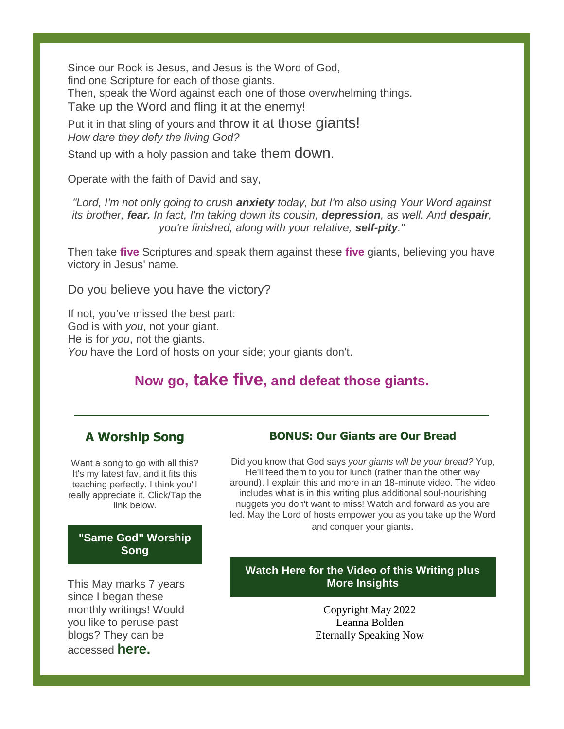Since our Rock is Jesus, and Jesus is the Word of God, find one Scripture for each of those giants. Then, speak the Word against each one of those overwhelming things. Take up the Word and fling it at the enemy! Put it in that sling of yours and throw it at those diants!

*How dare they defy the living God?*

Stand up with a holy passion and take them down.

Operate with the faith of David and say,

*"Lord, I'm not only going to crush anxiety today, but I'm also using Your Word against its brother, fear. In fact, I'm taking down its cousin, depression, as well. And despair, you're finished, along with your relative, self-pity."*

Then take **five** Scriptures and speak them against these **five** giants, believing you have victory in Jesus' name.

Do you believe you have the victory?

If not, you've missed the best part: God is with *you*, not your giant. He is for *you*, not the giants. *You* have the Lord of hosts on your side; your giants don't.

## **Now go, take five, and defeat those giants.**

### **A Worship Song**

Want a song to go with all this? It's my latest fav, and it fits this teaching perfectly. I think you'll really appreciate it. Click/Tap the link below.

#### **["Same God" Worship](https://www.youtube.com/watch?v=yse43TUrces)  [Song](https://www.youtube.com/watch?v=yse43TUrces)**

This May marks 7 years since I began these monthly writings! Would you like to peruse past blogs? They can be accessed **[here.](https://leannabolden.com/writings)**

#### **BONUS: Our Giants are Our Bread**

Did you know that God says *your giants will be your bread?* Yup, He'll feed them to you for lunch (rather than the other way around). I explain this and more in an 18-minute video. The video includes what is in this writing plus additional soul-nourishing nuggets you don't want to miss! Watch and forward as you are led. May the Lord of hosts empower you as you take up the Word and conquer your giants.

#### **[Watch Here for the Video of this Writing plus](https://leannabolden.com/video-audio-messages)  [More Insights](https://leannabolden.com/video-audio-messages)**

Copyright May 2022 Leanna Bolden Eternally Speaking Now